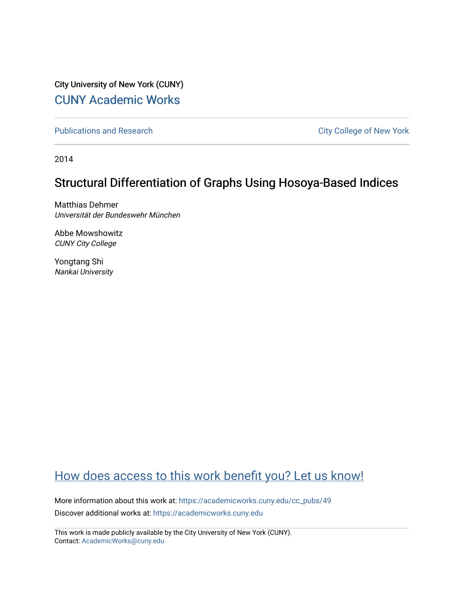City University of New York (CUNY) [CUNY Academic Works](https://academicworks.cuny.edu/) 

[Publications and Research](https://academicworks.cuny.edu/cc_pubs) **City College of New York** Publications and Research

2014

# Structural Differentiation of Graphs Using Hosoya-Based Indices

Matthias Dehmer Universität der Bundeswehr München

Abbe Mowshowitz CUNY City College

Yongtang Shi Nankai University

# [How does access to this work benefit you? Let us know!](http://ols.cuny.edu/academicworks/?ref=https://academicworks.cuny.edu/cc_pubs/49)

More information about this work at: [https://academicworks.cuny.edu/cc\\_pubs/49](https://academicworks.cuny.edu/cc_pubs/49) Discover additional works at: [https://academicworks.cuny.edu](https://academicworks.cuny.edu/?)

This work is made publicly available by the City University of New York (CUNY). Contact: [AcademicWorks@cuny.edu](mailto:AcademicWorks@cuny.edu)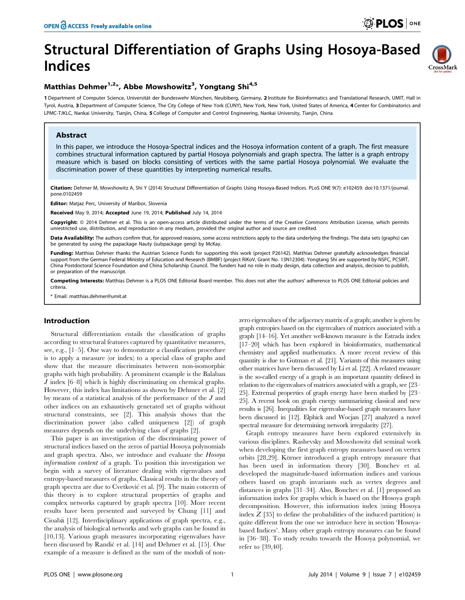CrossMark

# Structural Differentiation of Graphs Using Hosoya-Based Indices

### Matthias Dehmer<sup>1,2\*</sup>, Abbe Mowshowitz<sup>3</sup>, Yongtang Shi<sup>4,5</sup>

1 Department of Computer Science, Universität der Bundeswehr München, Neubiberg, Germany, 2 Institute for Bioinformatics and Translational Research, UMIT, Hall in Tyrol, Austria, 3 Department of Computer Science, The City College of New York (CUNY), New York, New York, United States of America, 4 Center for Combinatorics and LPMC-TJKLC, Nankai University, Tianjin, China, 5 College of Computer and Control Engineering, Nankai University, Tianjin, China

#### Abstract

In this paper, we introduce the Hosoya-Spectral indices and the Hosoya information content of a graph. The first measure combines structural information captured by partial Hosoya polynomials and graph spectra. The latter is a graph entropy measure which is based on blocks consisting of vertices with the same partial Hosoya polynomial. We evaluate the discrimination power of these quantities by interpreting numerical results.

Citation: Dehmer M, Mowshowitz A, Shi Y (2014) Structural Differentiation of Graphs Using Hosoya-Based Indices. PLoS ONE 9(7): e102459. doi:10.1371/journal. pone.0102459

Editor: Matjaz Perc, University of Maribor, Slovenia

Received May 9, 2014; Accepted June 19, 2014; Published July 14, 2014

Copyright: © 2014 Dehmer et al. This is an open-access article distributed under the terms of the [Creative Commons Attribution License,](http://creativecommons.org/licenses/by/4.0/) which permits unrestricted use, distribution, and reproduction in any medium, provided the original author and source are credited.

Data Availability: The authors confirm that, for approved reasons, some access restrictions apply to the data underlying the findings. The data sets (graphs) can be generated by using the papackage Nauty (subpackage geng) by McKay.

Funding: Matthias Dehmer thanks the Austrian Science Funds for supporting this work (project P26142). Matthias Dehmer gratefully acknowledges financial support from the German Federal Ministry of Education and Research (BMBF) (project RiKoV, Grant No. 13N12304). Yongtang Shi are supported by NSFC, PCSIRT, China Postdoctoral Science Foundation and China Scholarship Council. The funders had no role in study design, data collection and analysis, decision to publish, or preparation of the manuscript.

Competing Interests: Matthias Dehmer is a PLOS ONE Editorial Board member. This does not alter the authors' adherence to PLOS ONE Editorial policies and criteria.

Email: matthias.dehmer@umit.at

#### Introduction

Structural differentiation entails the classification of graphs according to structural features captured by quantitative measures, see, e.g., [1–5]. One way to demonstrate a classification procedure is to apply a measure (or index) to a special class of graphs and show that the measure discriminates between non-isomorphic graphs with high probability. A prominent example is the Balaban J index [6–8] which is highly discriminating on chemical graphs. However, this index has limitations as shown by Dehmer et al. [2] by means of a statistical analysis of the performance of the J and other indices on an exhaustively generated set of graphs without structural constraints, see [2]. This analysis shows that the discrimination power (also called uniqueness [2]) of graph measures depends on the underlying class of graphs [2].

This paper is an investigation of the discriminating power of structural indices based on the zeros of partial Hosoya polynomials and graph spectra. Also, we introduce and evaluate the Hosoya information content of a graph. To position this investigation we begin with a survey of literature dealing with eigenvalues and entropy-based measures of graphs. Classical results in the theory of graph spectra are due to Cvetković et al. [9]. The main concern of this theory is to explore structural properties of graphs and complex networks captured by graph spectra [10]. More recent results have been presented and surveyed by Chung [11] and Cioaba [12]. Interdisciplinary applications of graph spectra, e.g., the analysis of biological networks and web graphs can be found in [10,13]. Various graph measures incorporating eigenvalues have been discussed by Randić et al. [14] and Dehmer et al. [15]. One example of a measure is defined as the sum of the moduli of nonzero eigenvalues of the adjacency matrix of a graph; another is given by graph entropies based on the eigenvalues of matrices associated with a graph [14–16]. Yet another well-known measure is the Estrada index [17–20] which has been explored in bioinformatics, mathematical chemistry and applied mathematics. A more recent review of this quantity is due to Gutman et al. [21]. Variants of this measures using other matrices have been discussed by Li et al. [22]. A related measure is the so-called energy of a graph is an important quantity defined in relation to the eigenvalues of matrices associated with a graph, see [23– 25]. Extremal properties of graph energy have been studied by [23– 25]. A recent book on graph energy summarizing classical and new results is [26]. Inequalities for eigenvalue-based graph measures have been discussed in [12]. Elphick and Wocjan [27] analyzed a novel spectral measure for determining network irregularity [27].

Graph entropy measures have been explored extensively in various disciplines. Rashevsky and Mowshowitz did seminal work when developing the first graph entropy measures based on vertex orbits [28,29]. Körner introduced a graph entropy measure that has been used in information theory [30]. Bonchev et al. developed the magnitude-based information indices and various others based on graph invariants such as vertex degrees and distances in graphs [31–34]. Also, Bonchev et al. [1] proposed an information index for graphs which is based on the Hosoya graph decomposition. However, this information index (using Hosoya index  $Z$  [35] to define the probabilities of the induced partition) is quite different from the one we introduce here in section 'Hosoyabased Indices'. Many other graph entropy measures can be found in [36–38]. To study results towards the Hosoya polynomial, we refer to [39,40].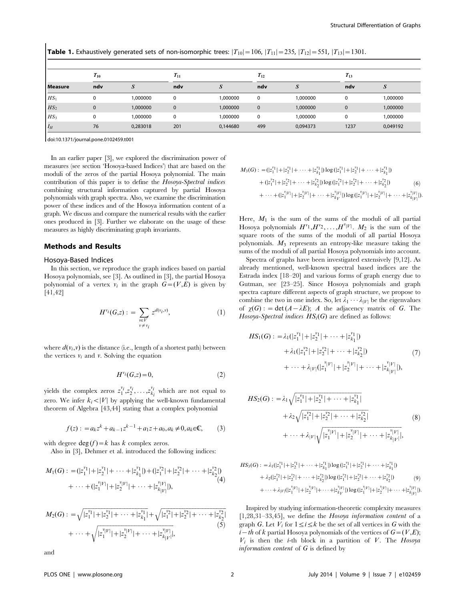|                 |          |               |          | <b>Table 1.</b> Exhaustively generated sets of non-isomorphic trees: $ T_{10}  = 106$ , $ T_{11}  = 235$ , $ T_{12}  = 551$ , $ T_{13}  = 1301$ . |              |          |          |          |
|-----------------|----------|---------------|----------|---------------------------------------------------------------------------------------------------------------------------------------------------|--------------|----------|----------|----------|
| <b>Measure</b>  | $T_{10}$ |               | $T_{11}$ |                                                                                                                                                   | $T_{12}$     |          | $T_{13}$ |          |
|                 | ndv      | $\mathcal{S}$ | ndv      | S                                                                                                                                                 | ndv          | S        | ndv      | S        |
| HS <sub>1</sub> | 0        | 1.000000      | $\Omega$ | 1,000000                                                                                                                                          | $\mathbf 0$  | 1,000000 | $\Omega$ | 1,000000 |
| $HS_2$          | 0        | 1,000000      | 0        | 1,000000                                                                                                                                          | $\mathbf{0}$ | 1,000000 | $\Omega$ | 1,000000 |
| HS <sub>3</sub> | 0        | 1.000000      | $\Omega$ | 1,000000                                                                                                                                          | $\mathbf 0$  | 1,000000 | $\Omega$ | 1.000000 |
| $I_H$           | 76       | 0.283018      | 201      | 0.144680                                                                                                                                          | 499          | 0.094373 | 1237     | 0.049192 |

doi:10.1371/journal.pone.0102459.t001

In an earlier paper [3], we explored the discrimination power of measures (see section 'Hosoya-based Indices') that are based on the moduli of the zeros of the partial Hosoya polynomial. The main contribution of this paper is to define the Hosoya-Spectral indices combining structural information captured by partial Hosoya polynomials with graph spectra. Also, we examine the discrimination power of these indices and of the Hosoya information content of a graph. We discuss and compare the numerical results with the earlier ones produced in [3]. Further we elaborate on the usage of these measures as highly discriminating graph invariants.

#### Methods and Results

#### Hosoya-Based Indices

In this section, we reproduce the graph indices based on partial Hosoya polynomials, see [3]. As outlined in [3], the partial Hosoya polynomial of a vertex  $v_i$  in the graph  $G=(V,E)$  is given by [41,42]

$$
H^{\nu_i}(G,z) := \sum_{\substack{v \in V \\ v \neq v_i}} z^{d(v_i, v)},\tag{1}
$$

where  $d(v_i, v)$  is the distance (i.e., length of a shortest path) between the vertices  $v_i$  and v. Solving the equation

$$
H^{\nu_i}(G,z) = 0,\tag{2}
$$

yields the complex zeros  $z_1^{v_i}, z_2^{v_i}, \ldots, z_{k_i}^{v_i}$  which are not equal to zero. We infer  $k_i \langle V|$  by applying the well-known fundamental theorem of Algebra [43,44] stating that a complex polynomial

$$
f(z) : = a_k z^k + a_{k-1} z^{k-1} + a_1 z + a_0, a_k \neq 0, a_k \in \mathbb{C},
$$
 (3)

with degree  $\deg(f) = k$  has k complex zeros.

Also in [3], Dehmer et al. introduced the following indices:

$$
M_1(G) : = (|z_1^{v_1}| + |z_2^{v_1}| + \dots + |z_{k_1}^{v_1}|) + (|z_1^{v_2}| + |z_2^{v_2}| + \dots + |z_{k_2}^{v_2}|)
$$
  
+ 
$$
\dots + (|z_1^{v|V|}| + |z_2^{v|V|}| + \dots + |z_{k|V|}^{v|V|}),
$$
  
(4)

$$
M_2(G) : = \sqrt{|z_1^{v_1}| + |z_2^{v_1}| + \dots + |z_{k_1}^{v_1}|} + \sqrt{|z_1^{v_2}| + |z_2^{v_2}| + \dots + |z_{k_2}^{v_2}|}
$$
  
+ 
$$
\cdots + \sqrt{|z_1^{v_1|v_1}| + |z_2^{v_1v_1}| + \dots + |z_{k_1|v}^{v_{|V|}}|},
$$

$$
(5)
$$

and

$$
M_3(G) : = (|z_1^{v_1}| + |z_2^{v_1}| + \dots + |z_{k_1}^{v_1}|) \log(|z_1^{v_1}| + |z_2^{v_1}| + \dots + |z_{k_1}^{v_1}|)
$$
  
+ 
$$
(|z_1^{v_2}| + |z_2^{v_2}| + \dots + |z_{k_2}^{v_2}|) \log(|z_1^{v_1}| + |z_2^{v_2}| + \dots + |z_{k_2}^{v_k}|)
$$
  
+ 
$$
\dots + (|z_1^{v_1}| + |z_2^{v_1}| + \dots + |z_{k_V}^{v_{|V|}}) \log(|z_1^{v_1}| + |z_2^{v_1}| + \dots + |z_{k_1}^{v_{|V|}}).
$$
 (6)

Here,  $M_1$  is the sum of the sums of the moduli of all partial Hosoya polynomials  $H^{\nu_1}, H^{\nu_2}, \ldots, H^{\nu_{|V|}}$ .  $M_2$  is the sum of the square roots of the sums of the moduli of all partial Hosoya polynomials.  $M_3$  represents an entropy-like measure taking the sums of the moduli of all partial Hosoya polynomials into account.

Spectra of graphs have been investigated extensively [9,12]. As already mentioned, well-known spectral based indices are the Estrada index [18–20] and various forms of graph energy due to Gutman, see [23–25]. Since Hosoya polynomials and graph spectra capture different aspects of graph structure, we propose to combine the two in one index. So, let  $\lambda_1 \cdots \lambda_{|V|}$  be the eigenvalues of  $\chi(G)$ : = det  $(A - \lambda E)$ ; A the adjacency matrix of G. The Hosoya-Spectral indices  $HS_i(G)$  are defined as follows:

$$
HS_1(G) : = \lambda_1(|z_1^{v_1}| + |z_2^{v_1}| + \dots + |z_{k_1}^{v_1}|) + \lambda_1(|z_1^{v_2}| + |z_2^{v_2}| + \dots + |z_{k_2}^{v_2}|) + \dots + \lambda_{|V|}(|z_1^{v_{|V|}}| + |z_2^{v_{|V|}}| + \dots + |z_{k_{|V|}}^{v_{|V|}}|),
$$
(7)

$$
HS_2(G) : = \lambda_1 \sqrt{|z_1^{v_1}| + |z_2^{v_1}| + \dots + |z_{k_1}^{v_1}|} + \lambda_2 \sqrt{|z_1^{v_2}| + |z_2^{v_2}| + \dots + |z_{k_2}^{v_2}|} + \dots + \lambda_{|V|} \sqrt{|z_1^{v|V|} + |z_2^{v|V|} + \dots + |z_{k|V}^{v|V|}|},
$$
(8)

$$
HS_{3}(G): = \lambda_{1}(|z_{1}^{v_{1}}| + |z_{2}^{v_{1}}| + \cdots + |z_{k_{1}}^{v_{1}}|) \log(|z_{1}^{v_{1}}| + |z_{2}^{v_{1}}| + \cdots + |z_{k_{1}}^{v_{1}}|)
$$
  
+  $\lambda_{2}(|z_{1}^{v_{2}}| + |z_{2}^{v_{2}}| + \cdots + |z_{k_{2}}^{v_{2}}|) \log(|z_{1}^{v_{2}}| + |z_{2}^{v_{2}}| + \cdots + |z_{k_{2}}^{v_{k}}|)$   
+  $\cdots + \lambda_{|V|}(|z_{1}^{v_{1}|}| + |z_{2}^{v_{1}|}| + \cdots + |z_{k_{V}}^{v_{|V|}}|) \log(|z_{1}^{v_{1}|}| + |z_{2}^{v_{1}|}| + \cdots + |z_{k_{|V|}}^{v_{|V|}}|)$ 

Inspired by studying information-theoretic complexity measures [1,28,31–33,45], we define the Hosoya information content of a graph G. Let  $V_i$  for  $1 \le i \le k$  be the set of all vertices in G with the  $i-th$  of k partial Hosoya polynomials of the vertices of  $G=(V,E);$  $V_i$  is then the *i*-th block in a partition of V. The Hosoya information content of G is defined by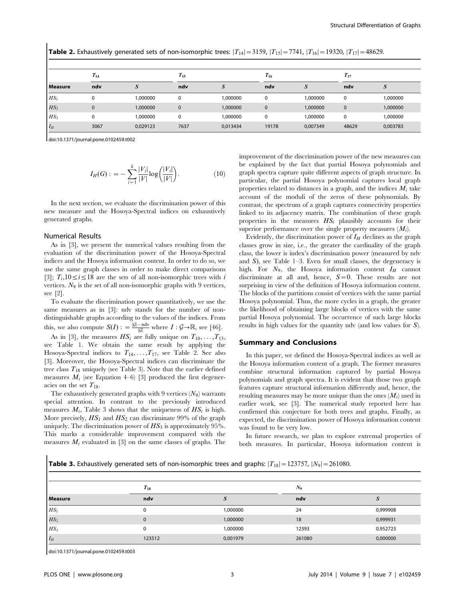|                 | <b>Table 2.</b> Exhaustively generated sets of non-isomorphic trees: $ T_{14}  = 3159$ , $ T_{15}  = 7741$ , $ T_{16}  = 19320$ , $ T_{17}  = 48629$ . |          |              |          |             |          |              |          |
|-----------------|--------------------------------------------------------------------------------------------------------------------------------------------------------|----------|--------------|----------|-------------|----------|--------------|----------|
| <b>Measure</b>  | $T_{14}$                                                                                                                                               |          | $T_{15}$     |          | $T_{16}$    |          | $T_{17}$     |          |
|                 | ndv                                                                                                                                                    | $\cdot$  | ndv          | S        | ndv         | S        | ndv          | S        |
| HS <sub>1</sub> | $\Omega$                                                                                                                                               | 1.000000 | $\Omega$     | 1.000000 | $\Omega$    | 1.000000 | $\mathbf 0$  | 1,000000 |
| $HS_2$          | $\mathbf{0}$                                                                                                                                           | 1,000000 | $\mathbf{0}$ | 1,000000 | $\Omega$    | 1,000000 | $\mathbf{0}$ | 1,000000 |
| HS <sub>3</sub> | $\Omega$                                                                                                                                               | 1.000000 | 0            | 1.000000 | $\mathbf 0$ | 1,000000 | $\mathbf 0$  | 1.000000 |
| $I_H$           | 3067                                                                                                                                                   | 0.029123 | 7637         | 0.013434 | 19178       | 0.007349 | 48629        | 0,003783 |

doi:10.1371/journal.pone.0102459.t002

$$
I_H(G) := -\sum_{i=1}^k \frac{|V_i|}{|V|} \log \left(\frac{|V_i|}{|V|}\right).
$$
 (10)

In the next section, we evaluate the discrimination power of this new measure and the Hosoya-Spectral indices on exhaustively generated graphs.

#### Numerical Results

As in [3], we present the numerical values resulting from the evaluation of the discrimination power of the Hosoya-Spectral indices and the Hosoya information content. In order to do so, we use the same graph classes in order to make direct comparisons [3];  $T_i$ ,  $10 \le i \le 18$  are the sets of all non-isomorphic trees with i vertices.  $N_9$  is the set of all non-isomorphic graphs with 9 vertices, see [2].

To evaluate the discrimination power quantitatively, we use the same measures as in [3]: ndv stands for the number of nondistinguishable graphs according to the values of the indices. From this, we also compute  $S(I)$  :  $= \frac{|G| - \text{ndv}}{|G|}$  where  $I : G \rightarrow \mathbb{R}$ , see [46].

As in [3], the measures  $HS_i$  are fully unique on  $T_{10}, \ldots, T_{13}$ , see Table 1. We obtain the same result by applying the Hosoya-Spectral indices to  $T_{14}, \ldots, T_{17}$ , see Table 2. See also [3]. Moreover, the Hosoya-Spectral indices can discriminate the tree class  $T_{18}$  uniquely (see Table 3). Note that the earlier defined measures  $M_i$  (see Equation 4–6) [3] produced the first degeneracies on the set  $T_{18}$ .

The exhaustively generated graphs with 9 vertices  $(N_9)$  warrants special attention. In contrast to the previously introduced measures  $M_i$ , Table 3 shows that the uniqueness of  $HS_i$  is high. More precisely,  $HS_1$  and  $HS_2$  can discriminate 99% of the graph uniquely. The discrimination power of  $HS_3$  is approximately 95%. This marks a considerable improvement compared with the measures  $M_i$  evaluated in [3] on the same classes of graphs. The improvement of the discrimination power of the new measures can be explained by the fact that partial Hosoya polynomials and graph spectra capture quite different aspects of graph structure. In particular, the partial Hosoya polynomial captures local graph properties related to distances in a graph, and the indices  $M_i$  take account of the moduli of the zeros of these polynomials. By contrast, the spectrum of a graph captures connectivity properties linked to its adjacency matrix. The combination of these graph properties in the measures  $HS_i$  plausibly accounts for their superior performance over the single property measures  $(M_i)$ .

Evidently, the discrimination power of  $I_H$  declines as the graph classes grow in size, i.e., the greater the cardinality of the graph class, the lower is index's discrimination power (measured by ndv and  $S$ ), see Table 1–3. Even for small classes, the degeneracy is high. For  $N_9$ , the Hosoya information content  $I_H$  cannot discriminate at all and, hence,  $S=0$ . These results are not surprising in view of the definition of Hosoya information content. The blocks of the partitions consist of vertices with the same partial Hosoya polynomial. Thus, the more cycles in a graph, the greater the likelihood of obtaining large blocks of vertices with the same partial Hosoya polynomial. The occurrence of such large blocks results in high values for the quantity ndv (and low values for S).

#### Summary and Conclusions

In this paper, we defined the Hosoya-Spectral indices as well as the Hosoya information content of a graph. The former measures combine structural information captured by partial Hosoya polynomials and graph spectra. It is evident that those two graph features capture structural information differently and, hence, the resulting measures may be more unique than the ones  $(M<sub>i</sub>)$  used in earlier work, see [3]. The numerical study reported here has confirmed this conjecture for both trees and graphs. Finally, as expected, the discrimination power of Hosoya information content was found to be very low.

In future research, we plan to explore extremal properties of both measures. In particular, Hosoya information content is

**Table 3.** Exhaustively generated sets of non-isomorphic trees and graphs:  $|T_{18}| = 123757$ ,  $|N_9| = 261080$ .

|                 | $T_{18}$ |          | $N_9$  |          |  |
|-----------------|----------|----------|--------|----------|--|
| <b>Measure</b>  | ndv      | د،       | ndv    |          |  |
| HS <sub>1</sub> |          | 1,000000 | 24     | 0,999908 |  |
| $HS_2$          | $\Omega$ | 1,000000 | 18     | 0,999931 |  |
| HS <sub>3</sub> | $\Omega$ | 1,000000 | 12393  | 0,952723 |  |
| $I_H$           | 123512   | 0,001979 | 261080 | 0,000000 |  |

doi:10.1371/journal.pone.0102459.t003